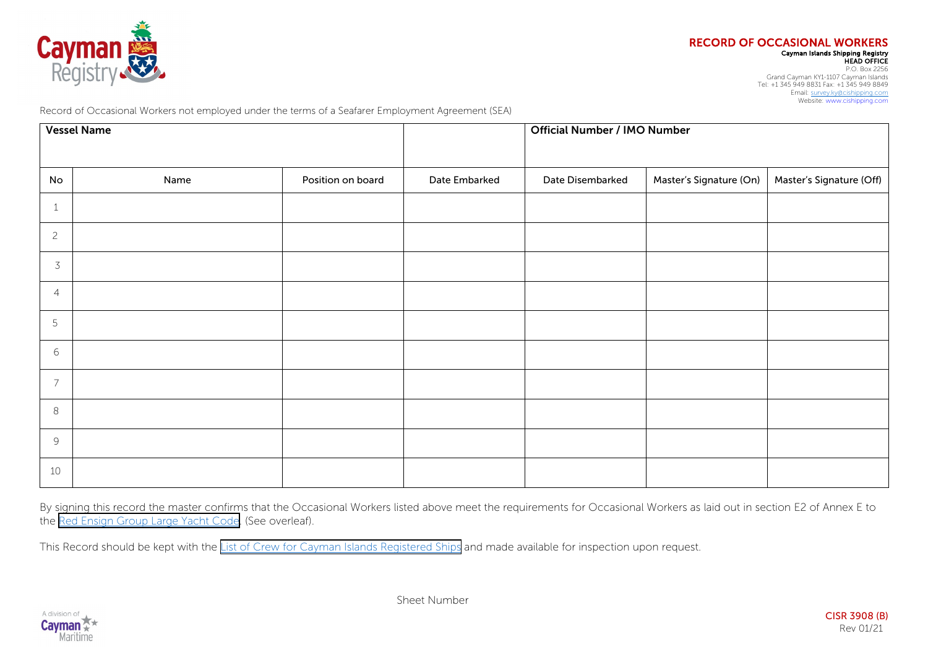

## RECORD OF OCCASIONAL WORKERS Cayman Islands Shipping Registry<br>HEAD OFFICE

P.O. Box 2256 Grand Cayman KY1-1107 Cayman Islands Tel: +1 345 949 8831 Fax: +1 345 949 8849 Email[: survey.ky@cishipping.com](mailto:survey.ky@cishipping.com)  Website: www.cishipping.com

Record of Occasional Workers not employed under the terms of a Seafarer Employment Agreement (SEA)

| <b>Vessel Name</b> |      |                   | <b>Official Number / IMO Number</b> |                  |                         |                          |
|--------------------|------|-------------------|-------------------------------------|------------------|-------------------------|--------------------------|
|                    |      |                   |                                     |                  |                         |                          |
| No                 | Name | Position on board | Date Embarked                       | Date Disembarked | Master's Signature (On) | Master's Signature (Off) |
| $\mathbf{1}$       |      |                   |                                     |                  |                         |                          |
| $\overline{c}$     |      |                   |                                     |                  |                         |                          |
| $\mathfrak{Z}$     |      |                   |                                     |                  |                         |                          |
| $\overline{4}$     |      |                   |                                     |                  |                         |                          |
| $\overline{5}$     |      |                   |                                     |                  |                         |                          |
| 6                  |      |                   |                                     |                  |                         |                          |
| 7                  |      |                   |                                     |                  |                         |                          |
| $\,8\,$            |      |                   |                                     |                  |                         |                          |
| $\mathcal{G}$      |      |                   |                                     |                  |                         |                          |
| 10                 |      |                   |                                     |                  |                         |                          |

By signing this record the master confirms that the Occasional Workers listed above meet the requirements for Occasional Workers as laid out in section E2 of Annex E to the [Red Ensign Group Large Yacht Code](https://www.redensigngroup.org/media/1093/reg-yacht-code-january-2019-edition-common-annexes.pdf). (See overleaf).

This Record should be kept with the [List of Crew for Cayman](https://www.cishipping.com/system/files/resources/documents/List of Crew for Cayman Islands Registered Ships electronic final_2.pdf) Islands Registered Ships and made available for inspection upon request.